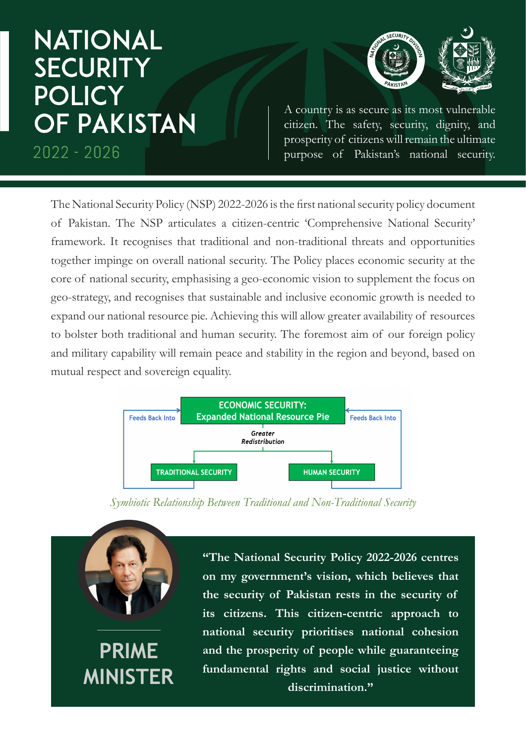## **NATIONAL SECURITY POLICY OF PAKISTAN**  $2022 - 2026$

**PRIME** 

**MINISTER**



A country is as secure as its most vulnerable citizen. The safety, security, dignity, and prosperity of citizens will remain the ultimate purpose of Pakistan's national security.

The National Security Policy (NSP) 2022-2026 is the first national security policy document of Pakistan. The NSP articulates a citizen-centric 'Comprehensive National Security' framework. It recognises that traditional and non-traditional threats and opportunities together impinge on overall national security. The Policy places economic security at the core of national security, emphasising a geo-economic vision to supplement the focus on geo-strategy, and recognises that sustainable and inclusive economic growth is needed to expand our national resource pie. Achieving this will allow greater availability of resources to bolster both traditional and human security. The foremost aim of our foreign policy and military capability will remain peace and stability in the region and beyond, based on mutual respect and sovereign equality.



*Symbiotic Relationship Between Traditional and Non-Traditional Security*

**"The National Security Policy 2022-2026 centres on my government's vision, which believes that the security of Pakistan rests in the security of its citizens. This citizen-centric approach to national security prioritises national cohesion and the prosperity of people while guaranteeing fundamental rights and social justice without discrimination."**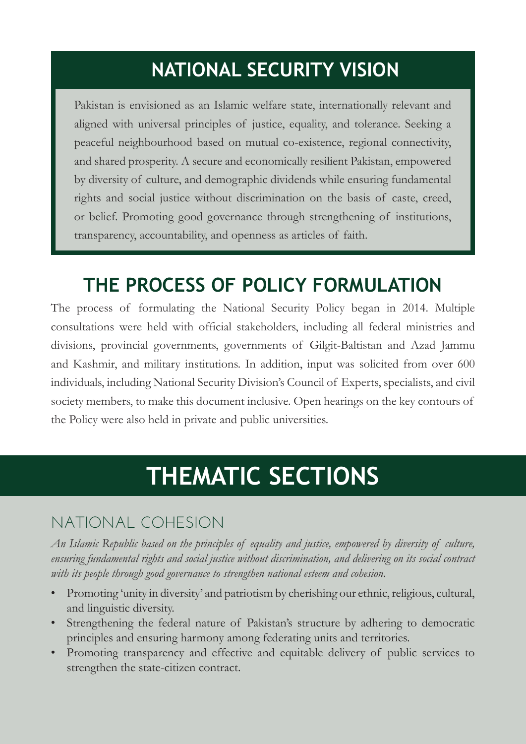### **NATIONAL SECURITY VISION**

Pakistan is envisioned as an Islamic welfare state, internationally relevant and aligned with universal principles of justice, equality, and tolerance. Seeking a peaceful neighbourhood based on mutual co-existence, regional connectivity, and shared prosperity. A secure and economically resilient Pakistan, empowered by diversity of culture, and demographic dividends while ensuring fundamental rights and social justice without discrimination on the basis of caste, creed, or belief. Promoting good governance through strengthening of institutions, transparency, accountability, and openness as articles of faith.

#### **THE PROCESS OF POLICY FORMULATION**

The process of formulating the National Security Policy began in 2014. Multiple consultations were held with official stakeholders, including all federal ministries and divisions, provincial governments, governments of Gilgit-Baltistan and Azad Jammu and Kashmir, and military institutions. In addition, input was solicited from over 600 individuals, including National Security Division's Council of Experts, specialists, and civil society members, to make this document inclusive. Open hearings on the key contours of the Policy were also held in private and public universities.

# **THEMATIC SECTIONS**

#### NATIONAL COHESION

*An Islamic Republic based on the principles of equality and justice, empowered by diversity of culture, ensuring fundamental rights and social justice without discrimination, and delivering on its social contract with its people through good governance to strengthen national esteem and cohesion.*

- Promoting 'unity in diversity' and patriotism by cherishing our ethnic, religious, cultural, and linguistic diversity.
- Strengthening the federal nature of Pakistan's structure by adhering to democratic principles and ensuring harmony among federating units and territories.
- Promoting transparency and effective and equitable delivery of public services to strengthen the state-citizen contract.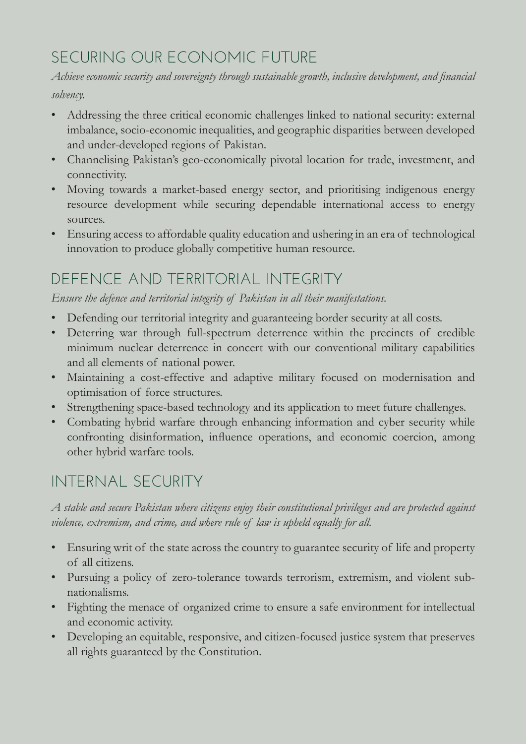#### SECURING OUR ECONOMIC FUTURE

*Achieve economic security and sovereignty through sustainable growth, inclusive development, and financial solvency.*

• Addressing the three critical economic challenges linked to national security: external imbalance, socio-economic inequalities, and geographic disparities between developed and under-developed regions of Pakistan.

- Channelising Pakistan's geo-economically pivotal location for trade, investment, and connectivity.
- Moving towards a market-based energy sector, and prioritising indigenous energy resource development while securing dependable international access to energy sources.
- Ensuring access to affordable quality education and ushering in an era of technological innovation to produce globally competitive human resource.

#### DEFENCE AND TERRITORIAL INTEGRITY

*Ensure the defence and territorial integrity of Pakistan in all their manifestations.*

- Defending our territorial integrity and guaranteeing border security at all costs.
- Deterring war through full-spectrum deterrence within the precincts of credible minimum nuclear deterrence in concert with our conventional military capabilities and all elements of national power.
- Maintaining a cost-effective and adaptive military focused on modernisation and optimisation of force structures.
- Strengthening space-based technology and its application to meet future challenges.
- Combating hybrid warfare through enhancing information and cyber security while confronting disinformation, influence operations, and economic coercion, among other hybrid warfare tools.

#### INTERNAL SECURITY

*A stable and secure Pakistan where citizens enjoy their constitutional privileges and are protected against violence, extremism, and crime, and where rule of law is upheld equally for all.*

- Ensuring writ of the state across the country to guarantee security of life and property of all citizens.
- Pursuing a policy of zero-tolerance towards terrorism, extremism, and violent subnationalisms.
- Fighting the menace of organized crime to ensure a safe environment for intellectual and economic activity.
- Developing an equitable, responsive, and citizen-focused justice system that preserves all rights guaranteed by the Constitution.